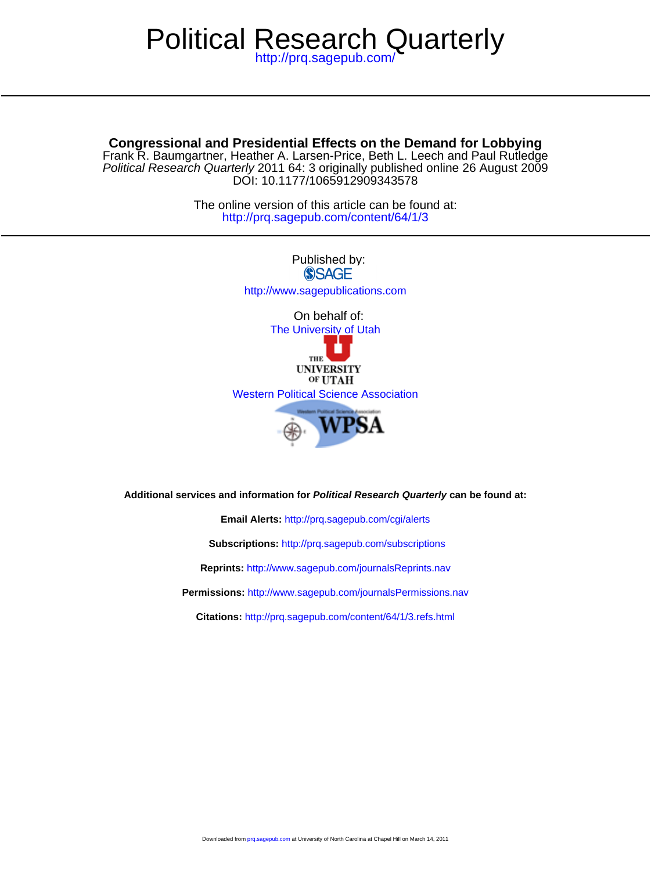# Political Research Quarterly

<http://prq.sagepub.com/>

# **Congressional and Presidential Effects on the Demand for Lobbying**

DOI: 10.1177/1065912909343578 Political Research Quarterly 2011 64: 3 originally published online 26 August 2009 Frank R. Baumgartner, Heather A. Larsen-Price, Beth L. Leech and Paul Rutledge

> <http://prq.sagepub.com/content/64/1/3> The online version of this article can be found at:



**Additional services and information for Political Research Quarterly can be found at:**

**Email Alerts:** <http://prq.sagepub.com/cgi/alerts>

**Subscriptions:** <http://prq.sagepub.com/subscriptions>

**Reprints:** <http://www.sagepub.com/journalsReprints.nav>

**Permissions:** <http://www.sagepub.com/journalsPermissions.nav>

**Citations:** <http://prq.sagepub.com/content/64/1/3.refs.html>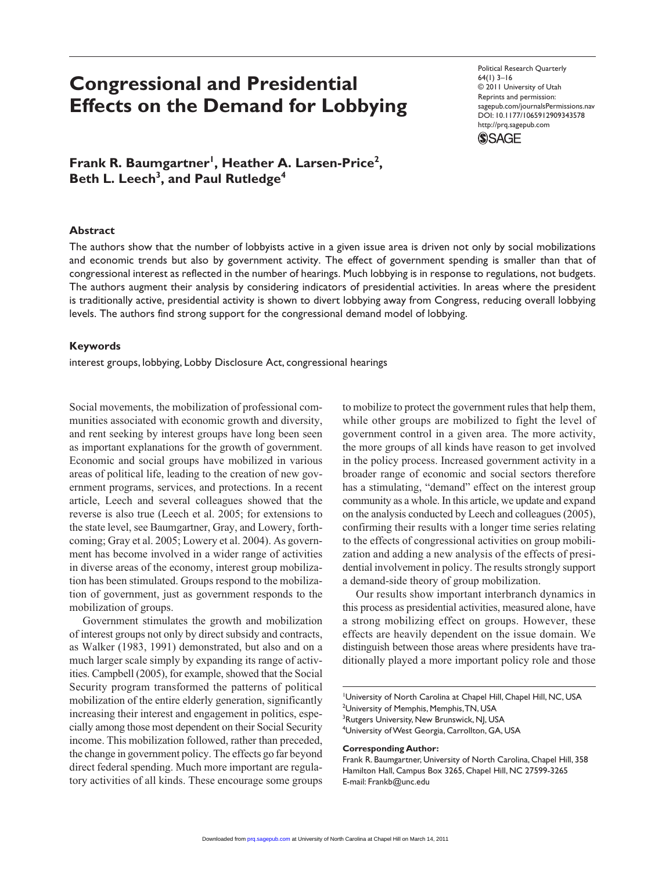# **Congressional and Presidential Effects on the Demand for Lobbying**

Political Research Quarterly 64(1) 3–16 © 2011 University of Utah Reprints and permission: sagepub.com/journalsPermissions.nav DOI: 10.1177/1065912909343578 http://prq.sagepub.com



Frank R. Baumgartner<sup>1</sup>, Heather A. Larsen-Price<sup>2</sup>, Beth L. Leech<sup>3</sup>, and Paul Rutledge<sup>4</sup>

### **Abstract**

The authors show that the number of lobbyists active in a given issue area is driven not only by social mobilizations and economic trends but also by government activity. The effect of government spending is smaller than that of congressional interest as reflected in the number of hearings. Much lobbying is in response to regulations, not budgets. The authors augment their analysis by considering indicators of presidential activities. In areas where the president is traditionally active, presidential activity is shown to divert lobbying away from Congress, reducing overall lobbying levels. The authors find strong support for the congressional demand model of lobbying.

#### **Keywords**

interest groups, lobbying, Lobby Disclosure Act, congressional hearings

Social movements, the mobilization of professional communities associated with economic growth and diversity, and rent seeking by interest groups have long been seen as important explanations for the growth of government. Economic and social groups have mobilized in various areas of political life, leading to the creation of new government programs, services, and protections. In a recent article, Leech and several colleagues showed that the reverse is also true (Leech et al. 2005; for extensions to the state level, see Baumgartner, Gray, and Lowery, forthcoming; Gray et al. 2005; Lowery et al. 2004). As government has become involved in a wider range of activities in diverse areas of the economy, interest group mobilization has been stimulated. Groups respond to the mobilization of government, just as government responds to the mobilization of groups.

Government stimulates the growth and mobilization of interest groups not only by direct subsidy and contracts, as Walker (1983, 1991) demonstrated, but also and on a much larger scale simply by expanding its range of activities. Campbell (2005), for example, showed that the Social Security program transformed the patterns of political mobilization of the entire elderly generation, significantly increasing their interest and engagement in politics, especially among those most dependent on their Social Security income. This mobilization followed, rather than preceded, the change in government policy. The effects go far beyond direct federal spending. Much more important are regulatory activities of all kinds. These encourage some groups

to mobilize to protect the government rules that help them, while other groups are mobilized to fight the level of government control in a given area. The more activity, the more groups of all kinds have reason to get involved in the policy process. Increased government activity in a broader range of economic and social sectors therefore has a stimulating, "demand" effect on the interest group community as a whole. In this article, we update and expand on the analysis conducted by Leech and colleagues (2005), confirming their results with a longer time series relating to the effects of congressional activities on group mobilization and adding a new analysis of the effects of presidential involvement in policy. The results strongly support a demand-side theory of group mobilization.

Our results show important interbranch dynamics in this process as presidential activities, measured alone, have a strong mobilizing effect on groups. However, these effects are heavily dependent on the issue domain. We distinguish between those areas where presidents have traditionally played a more important policy role and those

<sup>1</sup>University of North Carolina at Chapel Hill, Chapel Hill, NC, USA <sup>2</sup>University of Memphis, Memphis, TN, USA <sup>3</sup>Rutgers University, New Brunswick, NJ, USA 4 University of West Georgia, Carrollton, GA, USA

**Corresponding Author:**

Frank R. Baumgartner, University of North Carolina, Chapel Hill, 358 Hamilton Hall, Campus Box 3265, Chapel Hill, NC 27599-3265 E-mail: Frankb@unc.edu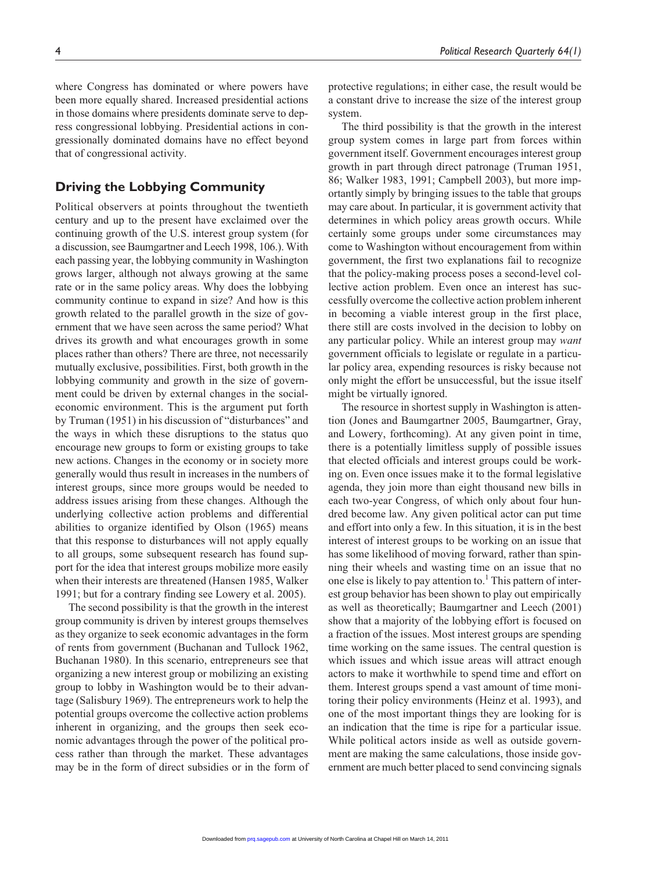where Congress has dominated or where powers have been more equally shared. Increased presidential actions in those domains where presidents dominate serve to depress congressional lobbying. Presidential actions in congressionally dominated domains have no effect beyond that of congressional activity.

# **Driving the Lobbying Community**

Political observers at points throughout the twentieth century and up to the present have exclaimed over the continuing growth of the U.S. interest group system (for a discussion, see Baumgartner and Leech 1998, 106.). With each passing year, the lobbying community in Washington grows larger, although not always growing at the same rate or in the same policy areas. Why does the lobbying community continue to expand in size? And how is this growth related to the parallel growth in the size of government that we have seen across the same period? What drives its growth and what encourages growth in some places rather than others? There are three, not necessarily mutually exclusive, possibilities. First, both growth in the lobbying community and growth in the size of government could be driven by external changes in the socialeconomic environment. This is the argument put forth by Truman (1951) in his discussion of "disturbances" and the ways in which these disruptions to the status quo encourage new groups to form or existing groups to take new actions. Changes in the economy or in society more generally would thus result in increases in the numbers of interest groups, since more groups would be needed to address issues arising from these changes. Although the underlying collective action problems and differential abilities to organize identified by Olson (1965) means that this response to disturbances will not apply equally to all groups, some subsequent research has found support for the idea that interest groups mobilize more easily when their interests are threatened (Hansen 1985, Walker 1991; but for a contrary finding see Lowery et al. 2005).

The second possibility is that the growth in the interest group community is driven by interest groups themselves as they organize to seek economic advantages in the form of rents from government (Buchanan and Tullock 1962, Buchanan 1980). In this scenario, entrepreneurs see that organizing a new interest group or mobilizing an existing group to lobby in Washington would be to their advantage (Salisbury 1969). The entrepreneurs work to help the potential groups overcome the collective action problems inherent in organizing, and the groups then seek economic advantages through the power of the political process rather than through the market. These advantages may be in the form of direct subsidies or in the form of protective regulations; in either case, the result would be a constant drive to increase the size of the interest group system.

The third possibility is that the growth in the interest group system comes in large part from forces within government itself. Government encourages interest group growth in part through direct patronage (Truman 1951, 86; Walker 1983, 1991; Campbell 2003), but more importantly simply by bringing issues to the table that groups may care about. In particular, it is government activity that determines in which policy areas growth occurs. While certainly some groups under some circumstances may come to Washington without encouragement from within government, the first two explanations fail to recognize that the policy-making process poses a second-level collective action problem. Even once an interest has successfully overcome the collective action problem inherent in becoming a viable interest group in the first place, there still are costs involved in the decision to lobby on any particular policy. While an interest group may *want* government officials to legislate or regulate in a particular policy area, expending resources is risky because not only might the effort be unsuccessful, but the issue itself might be virtually ignored.

The resource in shortest supply in Washington is attention (Jones and Baumgartner 2005, Baumgartner, Gray, and Lowery, forthcoming). At any given point in time, there is a potentially limitless supply of possible issues that elected officials and interest groups could be working on. Even once issues make it to the formal legislative agenda, they join more than eight thousand new bills in each two-year Congress, of which only about four hundred become law. Any given political actor can put time and effort into only a few. In this situation, it is in the best interest of interest groups to be working on an issue that has some likelihood of moving forward, rather than spinning their wheels and wasting time on an issue that no one else is likely to pay attention to.<sup>1</sup> This pattern of interest group behavior has been shown to play out empirically as well as theoretically; Baumgartner and Leech (2001) show that a majority of the lobbying effort is focused on a fraction of the issues. Most interest groups are spending time working on the same issues. The central question is which issues and which issue areas will attract enough actors to make it worthwhile to spend time and effort on them. Interest groups spend a vast amount of time monitoring their policy environments (Heinz et al. 1993), and one of the most important things they are looking for is an indication that the time is ripe for a particular issue. While political actors inside as well as outside government are making the same calculations, those inside government are much better placed to send convincing signals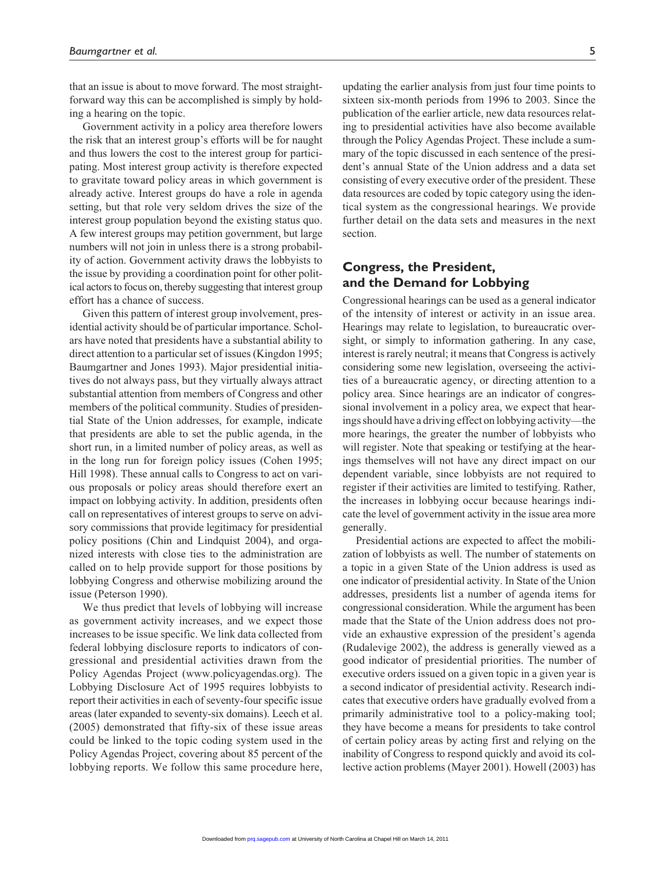that an issue is about to move forward. The most straightforward way this can be accomplished is simply by holding a hearing on the topic.

Government activity in a policy area therefore lowers the risk that an interest group's efforts will be for naught and thus lowers the cost to the interest group for participating. Most interest group activity is therefore expected to gravitate toward policy areas in which government is already active. Interest groups do have a role in agenda setting, but that role very seldom drives the size of the interest group population beyond the existing status quo. A few interest groups may petition government, but large numbers will not join in unless there is a strong probability of action. Government activity draws the lobbyists to the issue by providing a coordination point for other political actors to focus on, thereby suggesting that interest group effort has a chance of success.

Given this pattern of interest group involvement, presidential activity should be of particular importance. Scholars have noted that presidents have a substantial ability to direct attention to a particular set of issues (Kingdon 1995; Baumgartner and Jones 1993). Major presidential initiatives do not always pass, but they virtually always attract substantial attention from members of Congress and other members of the political community. Studies of presidential State of the Union addresses, for example, indicate that presidents are able to set the public agenda, in the short run, in a limited number of policy areas, as well as in the long run for foreign policy issues (Cohen 1995; Hill 1998). These annual calls to Congress to act on various proposals or policy areas should therefore exert an impact on lobbying activity. In addition, presidents often call on representatives of interest groups to serve on advisory commissions that provide legitimacy for presidential policy positions (Chin and Lindquist 2004), and organized interests with close ties to the administration are called on to help provide support for those positions by lobbying Congress and otherwise mobilizing around the issue (Peterson 1990).

We thus predict that levels of lobbying will increase as government activity increases, and we expect those increases to be issue specific. We link data collected from federal lobbying disclosure reports to indicators of congressional and presidential activities drawn from the Policy Agendas Project (www.policyagendas.org). The Lobbying Disclosure Act of 1995 requires lobbyists to report their activities in each of seventy-four specific issue areas (later expanded to seventy-six domains). Leech et al. (2005) demonstrated that fifty-six of these issue areas could be linked to the topic coding system used in the Policy Agendas Project, covering about 85 percent of the lobbying reports. We follow this same procedure here,

updating the earlier analysis from just four time points to sixteen six-month periods from 1996 to 2003. Since the publication of the earlier article, new data resources relating to presidential activities have also become available through the Policy Agendas Project. These include a summary of the topic discussed in each sentence of the president's annual State of the Union address and a data set consisting of every executive order of the president. These data resources are coded by topic category using the identical system as the congressional hearings. We provide further detail on the data sets and measures in the next section.

# **Congress, the President, and the Demand for Lobbying**

Congressional hearings can be used as a general indicator of the intensity of interest or activity in an issue area. Hearings may relate to legislation, to bureaucratic oversight, or simply to information gathering. In any case, interest is rarely neutral; it means that Congress is actively considering some new legislation, overseeing the activities of a bureaucratic agency, or directing attention to a policy area. Since hearings are an indicator of congressional involvement in a policy area, we expect that hearings should have a driving effect on lobbying activity—the more hearings, the greater the number of lobbyists who will register. Note that speaking or testifying at the hearings themselves will not have any direct impact on our dependent variable, since lobbyists are not required to register if their activities are limited to testifying. Rather, the increases in lobbying occur because hearings indicate the level of government activity in the issue area more generally.

Presidential actions are expected to affect the mobilization of lobbyists as well. The number of statements on a topic in a given State of the Union address is used as one indicator of presidential activity. In State of the Union addresses, presidents list a number of agenda items for congressional consideration. While the argument has been made that the State of the Union address does not provide an exhaustive expression of the president's agenda (Rudalevige 2002), the address is generally viewed as a good indicator of presidential priorities. The number of executive orders issued on a given topic in a given year is a second indicator of presidential activity. Research indicates that executive orders have gradually evolved from a primarily administrative tool to a policy-making tool; they have become a means for presidents to take control of certain policy areas by acting first and relying on the inability of Congress to respond quickly and avoid its collective action problems (Mayer 2001). Howell (2003) has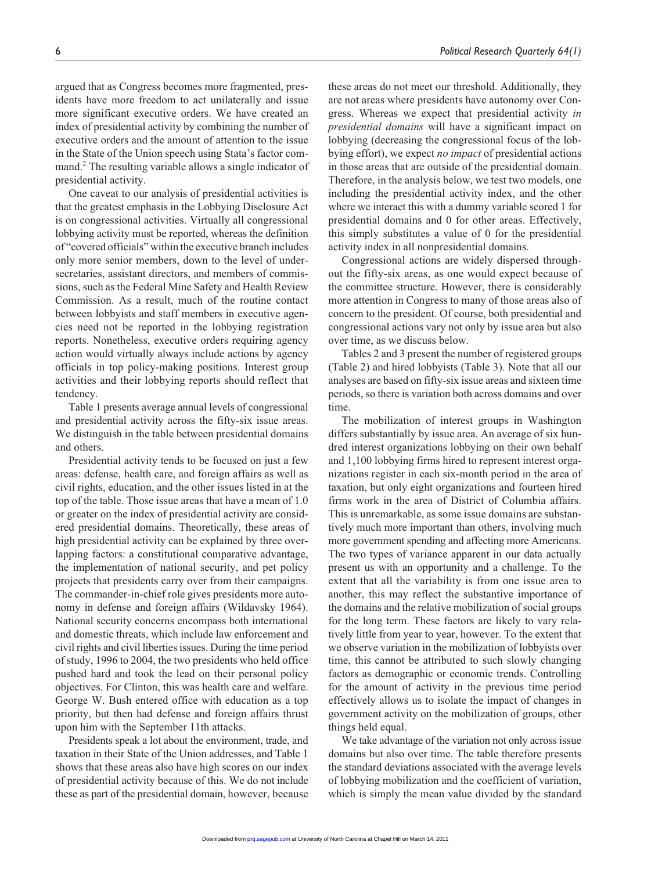argued that as Congress becomes more fragmented, presidents have more freedom to act unilaterally and issue more significant executive orders. We have created an index of presidential activity by combining the number of executive orders and the amount of attention to the issue in the State of the Union speech using Stata's factor command.2 The resulting variable allows a single indicator of presidential activity.

One caveat to our analysis of presidential activities is that the greatest emphasis in the Lobbying Disclosure Act is on congressional activities. Virtually all congressional lobbying activity must be reported, whereas the definition of "covered officials" within the executive branch includes only more senior members, down to the level of undersecretaries, assistant directors, and members of commissions, such as the Federal Mine Safety and Health Review Commission. As a result, much of the routine contact between lobbyists and staff members in executive agencies need not be reported in the lobbying registration reports. Nonetheless, executive orders requiring agency action would virtually always include actions by agency officials in top policy-making positions. Interest group activities and their lobbying reports should reflect that tendency.

Table 1 presents average annual levels of congressional and presidential activity across the fifty-six issue areas. We distinguish in the table between presidential domains and others.

Presidential activity tends to be focused on just a few areas: defense, health care, and foreign affairs as well as civil rights, education, and the other issues listed in at the top of the table. Those issue areas that have a mean of 1.0 or greater on the index of presidential activity are considered presidential domains. Theoretically, these areas of high presidential activity can be explained by three overlapping factors: a constitutional comparative advantage, the implementation of national security, and pet policy projects that presidents carry over from their campaigns. The commander-in-chief role gives presidents more autonomy in defense and foreign affairs (Wildavsky 1964). National security concerns encompass both international and domestic threats, which include law enforcement and civil rights and civil liberties issues. During the time period of study, 1996 to 2004, the two presidents who held office pushed hard and took the lead on their personal policy objectives. For Clinton, this was health care and welfare. George W. Bush entered office with education as a top priority, but then had defense and foreign affairs thrust upon him with the September 11th attacks.

Presidents speak a lot about the environment, trade, and taxation in their State of the Union addresses, and Table 1 shows that these areas also have high scores on our index of presidential activity because of this. We do not include these as part of the presidential domain, however, because these areas do not meet our threshold. Additionally, they are not areas where presidents have autonomy over Congress. Whereas we expect that presidential activity *in presidential domains* will have a significant impact on lobbying (decreasing the congressional focus of the lobbying effort), we expect *no impact* of presidential actions in those areas that are outside of the presidential domain. Therefore, in the analysis below, we test two models, one including the presidential activity index, and the other where we interact this with a dummy variable scored 1 for presidential domains and 0 for other areas. Effectively, this simply substitutes a value of 0 for the presidential activity index in all nonpresidential domains.

Congressional actions are widely dispersed throughout the fifty-six areas, as one would expect because of the committee structure. However, there is considerably more attention in Congress to many of those areas also of concern to the president. Of course, both presidential and congressional actions vary not only by issue area but also over time, as we discuss below.

Tables 2 and 3 present the number of registered groups (Table 2) and hired lobbyists (Table 3). Note that all our analyses are based on fifty-six issue areas and sixteen time periods, so there is variation both across domains and over time.

The mobilization of interest groups in Washington differs substantially by issue area. An average of six hundred interest organizations lobbying on their own behalf and 1,100 lobbying firms hired to represent interest organizations register in each six-month period in the area of taxation, but only eight organizations and fourteen hired firms work in the area of District of Columbia affairs. This is unremarkable, as some issue domains are substantively much more important than others, involving much more government spending and affecting more Americans. The two types of variance apparent in our data actually present us with an opportunity and a challenge. To the extent that all the variability is from one issue area to another, this may reflect the substantive importance of the domains and the relative mobilization of social groups for the long term. These factors are likely to vary relatively little from year to year, however. To the extent that we observe variation in the mobilization of lobbyists over time, this cannot be attributed to such slowly changing factors as demographic or economic trends. Controlling for the amount of activity in the previous time period effectively allows us to isolate the impact of changes in government activity on the mobilization of groups, other things held equal.

We take advantage of the variation not only across issue domains but also over time. The table therefore presents the standard deviations associated with the average levels of lobbying mobilization and the coefficient of variation, which is simply the mean value divided by the standard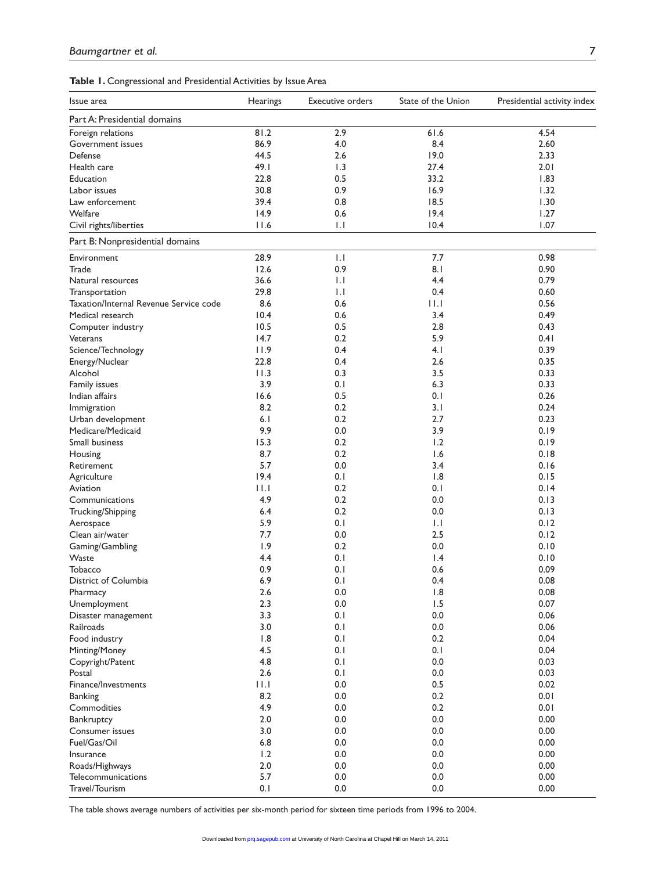|  | Table 1. Congressional and Presidential Activities by Issue Area |  |  |  |
|--|------------------------------------------------------------------|--|--|--|
|--|------------------------------------------------------------------|--|--|--|

| Issue area                             | Hearings | <b>Executive orders</b> | State of the Union | Presidential activity index |
|----------------------------------------|----------|-------------------------|--------------------|-----------------------------|
| Part A: Presidential domains           |          |                         |                    |                             |
| Foreign relations                      | 81.2     | 2.9                     | 61.6               | 4.54                        |
| Government issues                      | 86.9     | 4.0                     | 8.4                | 2.60                        |
| Defense                                | 44.5     | 2.6                     | 19.0               | 2.33                        |
| Health care                            | 49.1     | 1.3                     | 27.4               | 2.01                        |
| Education                              | 22.8     | 0.5                     | 33.2               | 1.83                        |
| Labor issues                           | 30.8     | 0.9                     | 16.9               | 1.32                        |
| Law enforcement                        | 39.4     | 0.8                     | 18.5               | 1.30                        |
| Welfare                                | 14.9     | 0.6                     | 19.4               | 1.27                        |
| Civil rights/liberties                 | 11.6     | $\mathsf{L}$            | 10.4               | 1.07                        |
| Part B: Nonpresidential domains        |          |                         |                    |                             |
| Environment                            | 28.9     | 1.1                     | 7.7                | 0.98                        |
| Trade                                  | 12.6     | 0.9                     | 8.1                | 0.90                        |
| Natural resources                      | 36.6     | $\mathsf{L}$            | 4.4                | 0.79                        |
| Transportation                         | 29.8     | $\mathsf{L}$            | 0.4                | 0.60                        |
| Taxation/Internal Revenue Service code | 8.6      | 0.6                     | $  \cdot  $        | 0.56                        |
| Medical research                       | 10.4     | 0.6                     | 3.4                | 0.49                        |
| Computer industry                      | 10.5     | 0.5                     | 2.8                | 0.43                        |
| Veterans                               | 14.7     | 0.2                     | 5.9                | 0.41                        |
| Science/Technology                     | 11.9     | 0.4                     | 4.1                | 0.39                        |
| Energy/Nuclear                         | 22.8     | 0.4                     | 2.6                | 0.35                        |
| Alcohol                                | 11.3     | 0.3                     | 3.5                | 0.33                        |
|                                        | 3.9      |                         |                    | 0.33                        |
| Family issues                          |          | 0.1<br>0.5              | 6.3                | 0.26                        |
| Indian affairs                         | 16.6     |                         | 0.1                |                             |
| Immigration                            | 8.2      | 0.2                     | 3. I               | 0.24                        |
| Urban development                      | 6.1      | 0.2                     | 2.7                | 0.23                        |
| Medicare/Medicaid                      | 9.9      | 0.0                     | 3.9                | 0.19                        |
| Small business                         | 15.3     | 0.2                     | 1.2                | 0.19                        |
| Housing                                | 8.7      | 0.2                     | 1.6                | 0.18                        |
| Retirement                             | 5.7      | 0.0                     | 3.4                | 0.16                        |
| Agriculture                            | 19.4     | 0.1                     | 1.8                | 0.15                        |
| Aviation                               | 11.1     | 0.2                     | 0.1                | 0.14                        |
| Communications                         | 4.9      | 0.2                     | 0.0                | 0.13                        |
| Trucking/Shipping                      | 6.4      | 0.2                     | 0.0                | 0.13                        |
| Aerospace                              | 5.9      | 0.1                     | 1.1                | 0.12                        |
| Clean air/water                        | 7.7      | 0.0                     | 2.5                | 0.12                        |
| Gaming/Gambling                        | 1.9      | 0.2                     | 0.0                | 0.10                        |
| Waste                                  | 4.4      | 0.1                     | $\mathsf{I}$ .4    | 0.10                        |
| Tobacco                                | 0.9      | 0.1                     | 0.6                | 0.09                        |
| District of Columbia                   | 6.9      | 0.1                     | 0.4                | 0.08                        |
| Pharmacy                               | $2.6$    | $0.0\,$                 | 1.8                | 0.08                        |
| Unemployment                           | 2.3      | 0.0                     | 1.5                | 0.07                        |
| Disaster management                    | 3.3      | 0.1                     | 0.0                | 0.06                        |
| Railroads                              | 3.0      | 0.1                     | $0.0\,$            | 0.06                        |
| Food industry                          | 1.8      | 0.1                     | 0.2                | 0.04                        |
| Minting/Money                          | 4.5      | 0.1                     | 0.1                | 0.04                        |
| Copyright/Patent                       | 4.8      | 0.1                     | 0.0                | 0.03                        |
| Postal                                 | 2.6      | 0.1                     | 0.0                | 0.03                        |
| Finance/Investments                    | 11.1     | 0.0                     | 0.5                | 0.02                        |
| <b>Banking</b>                         | 8.2      | 0.0                     | 0.2                | 0.01                        |
| Commodities                            | 4.9      | 0.0                     | 0.2                | 0.01                        |
| Bankruptcy                             | $2.0$    | 0.0                     | 0.0                | 0.00                        |
|                                        | 3.0      |                         |                    |                             |
| Consumer issues                        |          | 0.0                     | 0.0                | 0.00                        |
| Fuel/Gas/Oil                           | 6.8      | 0.0                     | 0.0                | 0.00                        |
| Insurance                              | 1.2      | 0.0                     | 0.0                | 0.00                        |
| Roads/Highways                         | 2.0      | 0.0                     | 0.0                | 0.00                        |
| Telecommunications                     | 5.7      | 0.0                     | 0.0                | 0.00                        |
| Travel/Tourism                         | 0.1      | 0.0                     | 0.0                | 0.00                        |

The table shows average numbers of activities per six-month period for sixteen time periods from 1996 to 2004.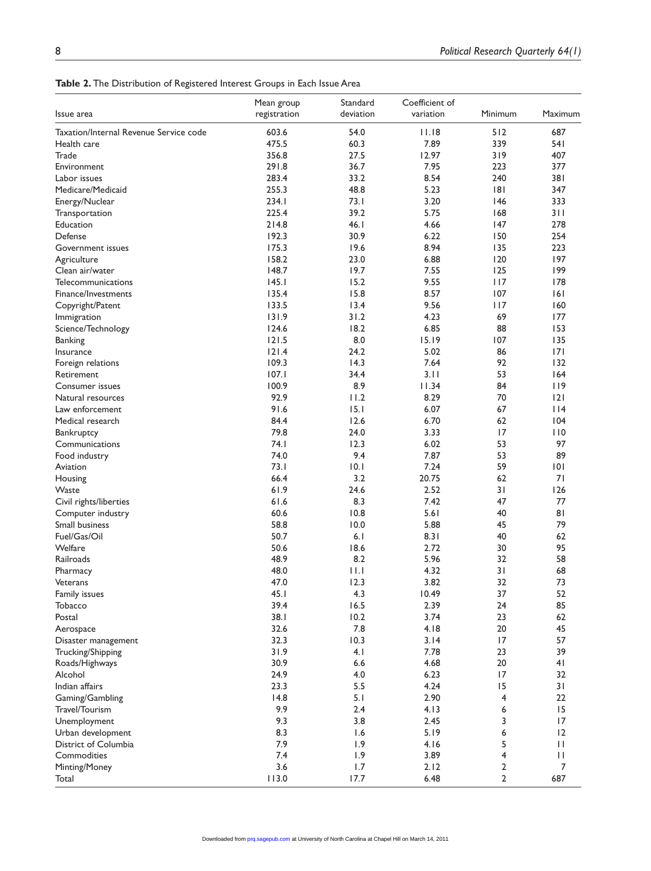**Table 2.** The Distribution of Registered Interest Groups in Each Issue Area

|                                        | Mean group   | Standard  | Coefficient of |                |                |
|----------------------------------------|--------------|-----------|----------------|----------------|----------------|
| Issue area                             | registration | deviation | variation      | Minimum        | Maximum        |
| Taxation/Internal Revenue Service code | 603.6        | 54.0      | 11.18          | 512            | 687            |
| Health care                            | 475.5        | 60.3      | 7.89           | 339            | 541            |
| Trade                                  | 356.8        | 27.5      | 12.97          | 319            | 407            |
| Environment                            | 291.8        | 36.7      | 7.95           | 223            | 377            |
| Labor issues                           | 283.4        | 33.2      | 8.54           | 240            | 381            |
| Medicare/Medicaid                      | 255.3        | 48.8      | 5.23           | 8              | 347            |
| Energy/Nuclear                         | 234.1        | 73.1      | 3.20           | 146            | 333            |
| Transportation                         | 225.4        | 39.2      | 5.75           | 168            | 311            |
| Education                              | 214.8        | 46.1      | 4.66           | 147            | 278            |
| Defense                                | 192.3        | 30.9      | 6.22           | 150            | 254            |
| Government issues                      | 175.3        | 19.6      | 8.94           | 135            | 223            |
| Agriculture                            | 158.2        | 23.0      | 6.88           | 120            | 197            |
| Clean air/water                        | 148.7        | 19.7      | 7.55           | 125            | 199            |
| Telecommunications                     | 145.1        | 15.2      | 9.55           | 117            | 178            |
| Finance/Investments                    | 135.4        | 15.8      | 8.57           | 107            | 6              |
| Copyright/Patent                       | 133.5        | 13.4      | 9.56           | 117            | 160            |
| Immigration                            | 131.9        | 31.2      | 4.23           | 69             | 177            |
| Science/Technology                     | 124.6        | 18.2      | 6.85           | 88             | 153            |
| <b>Banking</b>                         | 121.5        | 8.0       | 15.19          | 107            | 135            |
| Insurance                              | 121.4        | 24.2      | 5.02           | 86             | 7              |
| Foreign relations                      | 109.3        | 14.3      | 7.64           | 92             | 132            |
| Retirement                             | 107.1        | 34.4      | 3.11           | 53             | 164            |
| Consumer issues                        | 100.9        | 8.9       | 11.34          | 84             | 119            |
| Natural resources                      | 92.9         | 11.2      | 8.29           | 70             | 2              |
| Law enforcement                        | 91.6         | 15.1      | 6.07           | 67             | 114            |
| Medical research                       | 84.4         | 12.6      | 6.70           | 62             | 104            |
| Bankruptcy                             | 79.8         | 24.0      | 3.33           | 17             | 110            |
| Communications                         | 74.1         | 12.3      | 6.02           | 53             | 97             |
| Food industry                          | 74.0         | 9.4       | 7.87           | 53             | 89             |
| Aviation                               | 73.1         | 10.1      | 7.24           | 59             | 101            |
| Housing                                | 66.4         | 3.2       | 20.75          | 62             | 71             |
| Waste                                  | 61.9         | 24.6      | 2.52           | 31             | 126            |
| Civil rights/liberties                 | 61.6         | 8.3       | 7.42           | 47             | 77             |
| Computer industry                      | 60.6         | 10.8      | 5.61           | 40             | 81             |
| Small business                         | 58.8         | 10.0      | 5.88           | 45             | 79             |
| Fuel/Gas/Oil                           | 50.7         | 6.1       | 8.31           | 40             | 62             |
| Welfare                                | 50.6         | 18.6      | 2.72           | 30             | 95             |
| Railroads                              | 48.9         | 8.2       | 5.96           | 32             | 58             |
| Pharmacy                               | 48.0         | 11.1      | 4.32           | 31             | 68             |
| Veterans                               | 47.0         | 12.3      | 3.82           | 32             | 73             |
| Family issues                          | 45.1         | 4.3       | 10.49          | 37             | 52             |
| Tobacco                                | 39.4         | 16.5      | 2.39           | 24             | 85             |
| Postal                                 | 38.1         | 10.2      | 3.74           | 23             | 62             |
| Aerospace                              | 32.6         | $7.8\,$   | 4.18           | 20             | 45             |
| Disaster management                    | 32.3         | 10.3      | 3.14           | 17             | 57             |
| Trucking/Shipping                      | 31.9         | 4.1       | 7.78           | 23             | 39             |
| Roads/Highways                         | 30.9         | 6.6       | 4.68           | 20             | 4 <sub>1</sub> |
| Alcohol                                | 24.9         | 4.0       | 6.23           | 17             | 32             |
| Indian affairs                         | 23.3         | 5.5       | 4.24           | 15             | 31             |
| Gaming/Gambling                        | 14.8         | 5.1       | 2.90           | 4              | 22             |
| Travel/Tourism                         | 9.9          | 2.4       | 4.13           | 6              | 15             |
|                                        | 9.3          | 3.8       | 2.45           | 3              | 17             |
| Unemployment                           | 8.3          | 1.6       | 5.19           |                | 12             |
| Urban development                      |              |           |                | 6<br>5         |                |
| District of Columbia                   | 7.9          | 1.9       | 4.16           |                | $\mathbf{H}$   |
| Commodities                            | 7.4          | 1.9       | 3.89           | 4              | П              |
| Minting/Money                          | 3.6          | 1.7       | 2.12           | 2              | 7              |
| Total                                  | 113.0        | 17.7      | 6.48           | $\overline{2}$ | 687            |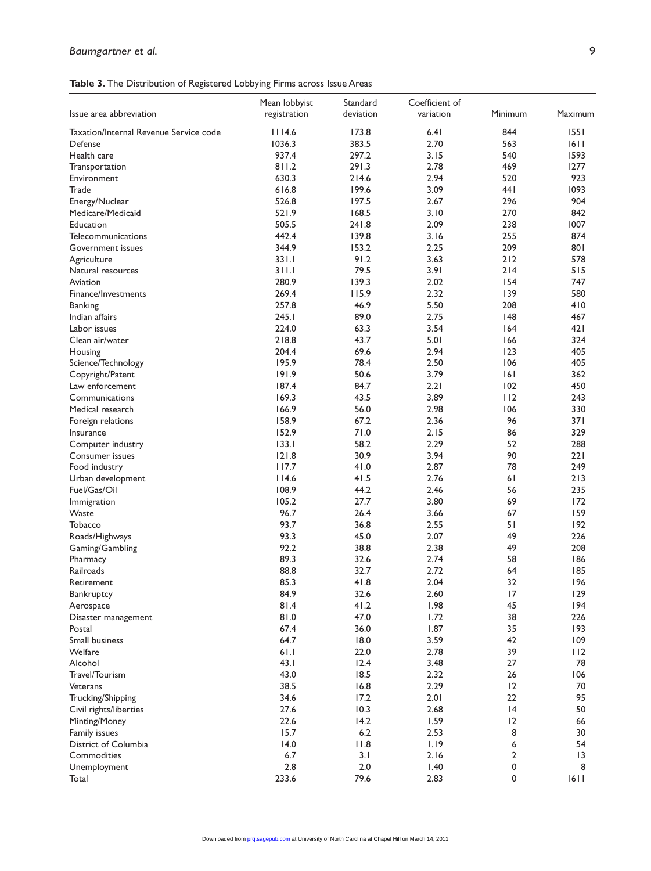| Issue area abbreviation                | Mean lobbyist<br>registration | Standard<br>deviation | Coefficient of<br>variation | Minimum  | Maximum   |
|----------------------------------------|-------------------------------|-----------------------|-----------------------------|----------|-----------|
| Taxation/Internal Revenue Service code | 1114.6                        | 173.8                 | 6.41                        | 844      | 1551      |
| Defense                                | 1036.3                        | 383.5                 | 2.70                        | 563      | 1611      |
| Health care                            | 937.4                         | 297.2                 | 3.15                        | 540      | 1593      |
| Transportation                         | 811.2                         | 291.3                 | 2.78                        | 469      | 1277      |
| Environment                            | 630.3                         | 214.6                 | 2.94                        | 520      | 923       |
| Trade                                  | 616.8                         | 199.6                 | 3.09                        | 441      | 1093      |
| Energy/Nuclear                         | 526.8                         | 197.5                 | 2.67                        | 296      | 904       |
| Medicare/Medicaid                      | 521.9                         | 168.5                 | 3.10                        | 270      | 842       |
| Education                              | 505.5                         | 241.8                 | 2.09                        | 238      | 1007      |
| Telecommunications                     | 442.4                         | 139.8                 | 3.16                        | 255      | 874       |
| Government issues                      | 344.9                         | 153.2                 | 2.25                        | 209      | 801       |
| Agriculture                            | 331.1                         | 91.2                  | 3.63                        | 212      | 578       |
| Natural resources                      | 311.1                         | 79.5                  | 3.91                        | 214      | 515       |
| Aviation                               | 280.9                         | 139.3                 | 2.02                        | 154      | 747       |
| Finance/Investments                    | 269.4                         | 115.9                 | 2.32                        | 139      | 580       |
| <b>Banking</b>                         | 257.8                         | 46.9                  | 5.50                        | 208      | 410       |
| Indian affairs                         | 245.1                         | 89.0                  | 2.75                        | 148      | 467       |
| Labor issues                           | 224.0                         | 63.3                  | 3.54                        | 164      | 421       |
| Clean air/water                        | 218.8                         | 43.7                  | 5.01                        | 166      | 324       |
| Housing                                | 204.4                         | 69.6                  | 2.94                        | 123      | 405       |
| Science/Technology                     | 195.9                         | 78.4                  | 2.50                        | 106      | 405       |
| Copyright/Patent                       | 191.9                         | 50.6                  | 3.79                        | 6        | 362       |
| Law enforcement                        | 187.4                         | 84.7                  | 2.21                        | 102      | 450       |
| Communications                         | 169.3                         | 43.5                  | 3.89                        | 112      | 243       |
| Medical research                       | 166.9                         | 56.0                  | 2.98                        | 106      | 330       |
| Foreign relations                      | 158.9                         | 67.2                  | 2.36                        | 96       | 371       |
| Insurance                              | 152.9                         | 71.0                  | 2.15                        | 86       | 329       |
| Computer industry                      | 133.1                         | 58.2                  | 2.29                        | 52       | 288       |
| Consumer issues                        | 121.8                         | 30.9                  | 3.94                        | 90       | 221       |
| Food industry                          | 117.7                         | 41.0                  | 2.87                        | 78       | 249       |
| Urban development                      | 114.6                         | 41.5                  | 2.76                        | 61       | 213       |
| Fuel/Gas/Oil                           | 108.9                         | 44.2                  | 2.46                        | 56       | 235       |
| Immigration                            | 105.2                         | 27.7                  | 3.80                        | 69       | 172       |
| Waste                                  | 96.7                          | 26.4                  | 3.66                        | 67       | 159       |
| Tobacco                                | 93.7                          | 36.8                  | 2.55                        | 51       | 192       |
| Roads/Highways                         | 93.3                          | 45.0                  | 2.07                        | 49       | 226       |
| Gaming/Gambling                        | 92.2                          | 38.8                  | 2.38                        | 49       | 208       |
| Pharmacy                               | 89.3                          | 32.6                  | 2.74                        | 58       | 186       |
| Railroads                              | 88.8                          | 32.7                  | 2.72                        | 64       | 185       |
| Retirement                             | 85.3                          | 41.8                  | 2.04                        | 32       | 196       |
| Bankruptcy                             | 84.9                          | 32.6                  | 2.60                        | 17       | 129       |
| Aerospace                              | 81.4                          | 41.2                  | 1.98                        | 45       | 194       |
| Disaster management                    | 0.18                          | 47.0                  | 1.72                        | 38       | 226       |
| Postal                                 | 67.4                          | 36.0                  | 1.87                        | 35       | 193       |
| Small business                         | 64.7                          | 18.0                  | 3.59                        | 42       | 109       |
| Welfare<br>Alcohol                     | 61.1                          | 22.0                  | 2.78                        | 39<br>27 | 112       |
|                                        | 43.1                          | 12.4                  | 3.48                        | 26       | 78<br>106 |
| Travel/Tourism<br>Veterans             | 43.0                          | 18.5                  | 2.32                        |          |           |
|                                        | 38.5                          | 16.8                  | 2.29                        | 12<br>22 | 70<br>95  |
| Trucking/Shipping                      | 34.6                          | 17.2                  | 2.01<br>2.68                | 4        | 50        |
| Civil rights/liberties                 | 27.6<br>22.6                  | 10.3<br>14.2          | 1.59                        | 12       | 66        |
| Minting/Money                          | 15.7                          | 6.2                   | 2.53                        | 8        | 30        |
| Family issues<br>District of Columbia  | 14.0                          | 11.8                  | 1.19                        | 6        | 54        |
| Commodities                            | 6.7                           | 3.1                   | 2.16                        | 2        | 3         |
| Unemployment                           | 2.8                           | 2.0                   | 1.40                        | 0        | 8         |
| Total                                  | 233.6                         | 79.6                  | 2.83                        | 0        | 1611      |
|                                        |                               |                       |                             |          |           |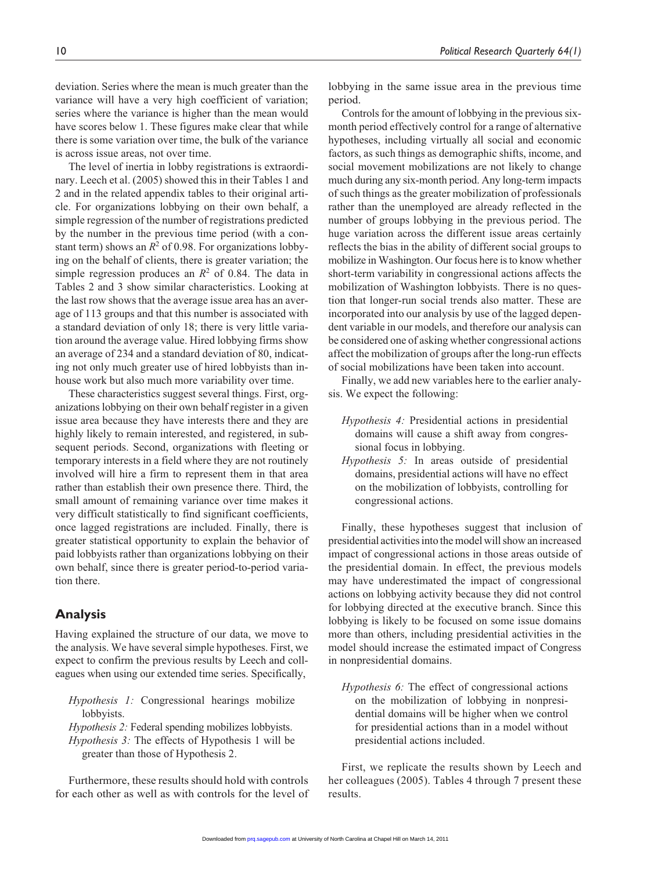deviation. Series where the mean is much greater than the variance will have a very high coefficient of variation; series where the variance is higher than the mean would have scores below 1. These figures make clear that while there is some variation over time, the bulk of the variance is across issue areas, not over time.

The level of inertia in lobby registrations is extraordinary. Leech et al. (2005) showed this in their Tables 1 and 2 and in the related appendix tables to their original article. For organizations lobbying on their own behalf, a simple regression of the number of registrations predicted by the number in the previous time period (with a constant term) shows an  $R^2$  of 0.98. For organizations lobbying on the behalf of clients, there is greater variation; the simple regression produces an  $R^2$  of 0.84. The data in Tables 2 and 3 show similar characteristics. Looking at the last row shows that the average issue area has an average of 113 groups and that this number is associated with a standard deviation of only 18; there is very little variation around the average value. Hired lobbying firms show an average of 234 and a standard deviation of 80, indicating not only much greater use of hired lobbyists than inhouse work but also much more variability over time.

These characteristics suggest several things. First, organizations lobbying on their own behalf register in a given issue area because they have interests there and they are highly likely to remain interested, and registered, in subsequent periods. Second, organizations with fleeting or temporary interests in a field where they are not routinely involved will hire a firm to represent them in that area rather than establish their own presence there. Third, the small amount of remaining variance over time makes it very difficult statistically to find significant coefficients, once lagged registrations are included. Finally, there is greater statistical opportunity to explain the behavior of paid lobbyists rather than organizations lobbying on their own behalf, since there is greater period-to-period variation there.

# **Analysis**

Having explained the structure of our data, we move to the analysis. We have several simple hypotheses. First, we expect to confirm the previous results by Leech and colleagues when using our extended time series. Specifically,

- *Hypothesis 1:* Congressional hearings mobilize lobbyists.
- *Hypothesis 2:* Federal spending mobilizes lobbyists. *Hypothesis 3:* The effects of Hypothesis 1 will be greater than those of Hypothesis 2.

Furthermore, these results should hold with controls for each other as well as with controls for the level of lobbying in the same issue area in the previous time period.

Controls for the amount of lobbying in the previous sixmonth period effectively control for a range of alternative hypotheses, including virtually all social and economic factors, as such things as demographic shifts, income, and social movement mobilizations are not likely to change much during any six-month period. Any long-term impacts of such things as the greater mobilization of professionals rather than the unemployed are already reflected in the number of groups lobbying in the previous period. The huge variation across the different issue areas certainly reflects the bias in the ability of different social groups to mobilize in Washington. Our focus here is to know whether short-term variability in congressional actions affects the mobilization of Washington lobbyists. There is no question that longer-run social trends also matter. These are incorporated into our analysis by use of the lagged dependent variable in our models, and therefore our analysis can be considered one of asking whether congressional actions affect the mobilization of groups after the long-run effects of social mobilizations have been taken into account.

Finally, we add new variables here to the earlier analysis. We expect the following:

- *Hypothesis 4:* Presidential actions in presidential domains will cause a shift away from congressional focus in lobbying.
- *Hypothesis 5:* In areas outside of presidential domains, presidential actions will have no effect on the mobilization of lobbyists, controlling for congressional actions.

Finally, these hypotheses suggest that inclusion of presidential activities into the model will show an increased impact of congressional actions in those areas outside of the presidential domain. In effect, the previous models may have underestimated the impact of congressional actions on lobbying activity because they did not control for lobbying directed at the executive branch. Since this lobbying is likely to be focused on some issue domains more than others, including presidential activities in the model should increase the estimated impact of Congress in nonpresidential domains.

*Hypothesis 6:* The effect of congressional actions on the mobilization of lobbying in nonpresidential domains will be higher when we control for presidential actions than in a model without presidential actions included.

First, we replicate the results shown by Leech and her colleagues (2005). Tables 4 through 7 present these results.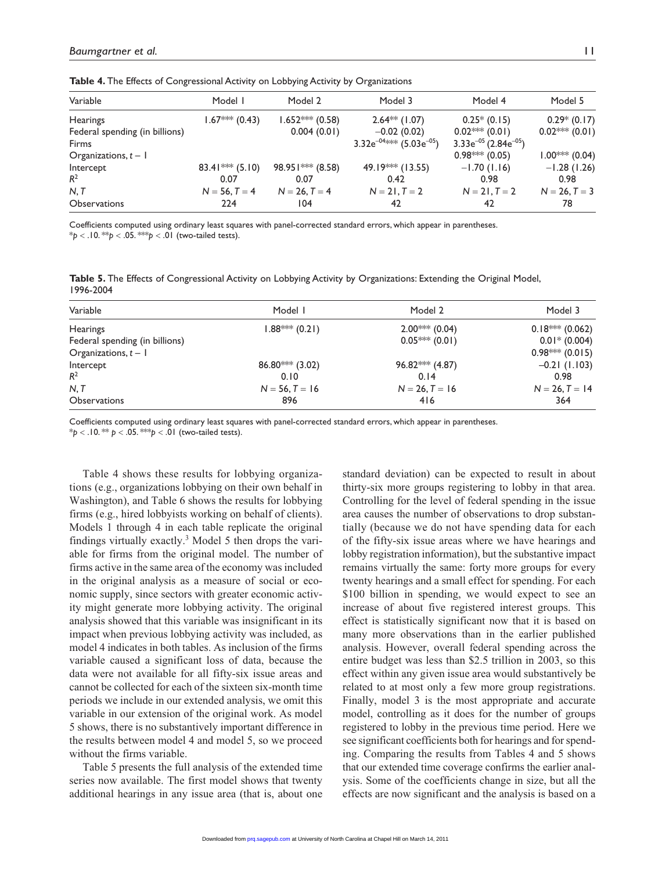| Variable                       | Model I                      | Model 2          | Model 3                                    | Model 4                               | Model 5         |
|--------------------------------|------------------------------|------------------|--------------------------------------------|---------------------------------------|-----------------|
| <b>Hearings</b>                | $1.67***$ (0.43)             | $1.652***(0.58)$ | $2.64**$ (1.07)                            | $0.25*(0.15)$                         | $0.29*(0.17)$   |
| Federal spending (in billions) |                              | 0.004(0.01)      | $-0.02(0.02)$                              | $0.02$ *** (0.01)                     | $0.02***(0.01)$ |
| Firms                          |                              |                  | 3.32 $e^{-04\text{keV}}$ (5.03 $e^{-05}$ ) | $3.33e^{-05}$ (2.84e <sup>-05</sup> ) |                 |
| Organizations, $t - 1$         |                              |                  |                                            | $0.98***(0.05)$                       | $1.00***(0.04)$ |
| Intercept                      | 83.41 <sup>**</sup> $(5.10)$ | 98.951*** (8.58) | 49.19*** (13.55)                           | $-1.70(1.16)$                         | $-1.28(1.26)$   |
| $R^2$                          | 0.07                         | 0.07             | 0.42                                       | 0.98                                  | 0.98            |
| N, T                           | $N = 56, T = 4$              | $N = 26, T = 4$  | $N = 21, T = 2$                            | $N = 21, T = 2$                       | $N = 26, T = 3$ |
| <b>Observations</b>            | 224                          | 104              | 42                                         | 42                                    | 78              |
|                                |                              |                  |                                            |                                       |                 |

**Table 4.** The Effects of Congressional Activity on Lobbying Activity by Organizations

Coefficients computed using ordinary least squares with panel-corrected standard errors, which appear in parentheses.  $*$ *p* < .10. \*\**p* < .05. \*\**p* < .01 (two-tailed tests).

| Table 5. The Effects of Congressional Activity on Lobbying Activity by Organizations: Extending the Original Model, |  |
|---------------------------------------------------------------------------------------------------------------------|--|
| 1996-2004                                                                                                           |  |

| Variable                       | Model I           | Model 2           | Model 3                                       |
|--------------------------------|-------------------|-------------------|-----------------------------------------------|
| <b>Hearings</b>                | $1.88***(0.21)$   | $2.00***(0.04)$   | $0.18*** (0.062)$                             |
| Federal spending (in billions) |                   | $0.05***(0.01)$   | $0.01* (0.004)$                               |
| Organizations, $t - 1$         |                   |                   | $0.98^{*\!\bowtie\!\bowtie\!\bowtie}$ (0.015) |
| Intercept                      | $86.80***$ (3.02) | $96.82***$ (4.87) | $-0.21(1.103)$                                |
| $R^2$                          | 0.10              | 0.14              | 0.98                                          |
| N, T                           | $N = 56, T = 16$  | $N = 26, T = 16$  | $N = 26, T = 14$                              |
| <b>Observations</b>            | 896               | 416               | 364                                           |

Coefficients computed using ordinary least squares with panel-corrected standard errors, which appear in parentheses.

 $*$ *p* < .10. \*\* *p* < .05. \*\**p* < .01 (two-tailed tests).

Table 4 shows these results for lobbying organizations (e.g., organizations lobbying on their own behalf in Washington), and Table 6 shows the results for lobbying firms (e.g., hired lobbyists working on behalf of clients). Models 1 through 4 in each table replicate the original findings virtually exactly.<sup>3</sup> Model 5 then drops the variable for firms from the original model. The number of firms active in the same area of the economy was included in the original analysis as a measure of social or economic supply, since sectors with greater economic activity might generate more lobbying activity. The original analysis showed that this variable was insignificant in its impact when previous lobbying activity was included, as model 4 indicates in both tables. As inclusion of the firms variable caused a significant loss of data, because the data were not available for all fifty-six issue areas and cannot be collected for each of the sixteen six-month time periods we include in our extended analysis, we omit this variable in our extension of the original work. As model 5 shows, there is no substantively important difference in the results between model 4 and model 5, so we proceed without the firms variable.

Table 5 presents the full analysis of the extended time series now available. The first model shows that twenty additional hearings in any issue area (that is, about one standard deviation) can be expected to result in about thirty-six more groups registering to lobby in that area. Controlling for the level of federal spending in the issue area causes the number of observations to drop substantially (because we do not have spending data for each of the fifty-six issue areas where we have hearings and lobby registration information), but the substantive impact remains virtually the same: forty more groups for every twenty hearings and a small effect for spending. For each \$100 billion in spending, we would expect to see an increase of about five registered interest groups. This effect is statistically significant now that it is based on many more observations than in the earlier published analysis. However, overall federal spending across the entire budget was less than \$2.5 trillion in 2003, so this effect within any given issue area would substantively be related to at most only a few more group registrations. Finally, model 3 is the most appropriate and accurate model, controlling as it does for the number of groups registered to lobby in the previous time period. Here we see significant coefficients both for hearings and for spending. Comparing the results from Tables 4 and 5 shows that our extended time coverage confirms the earlier analysis. Some of the coefficients change in size, but all the effects are now significant and the analysis is based on a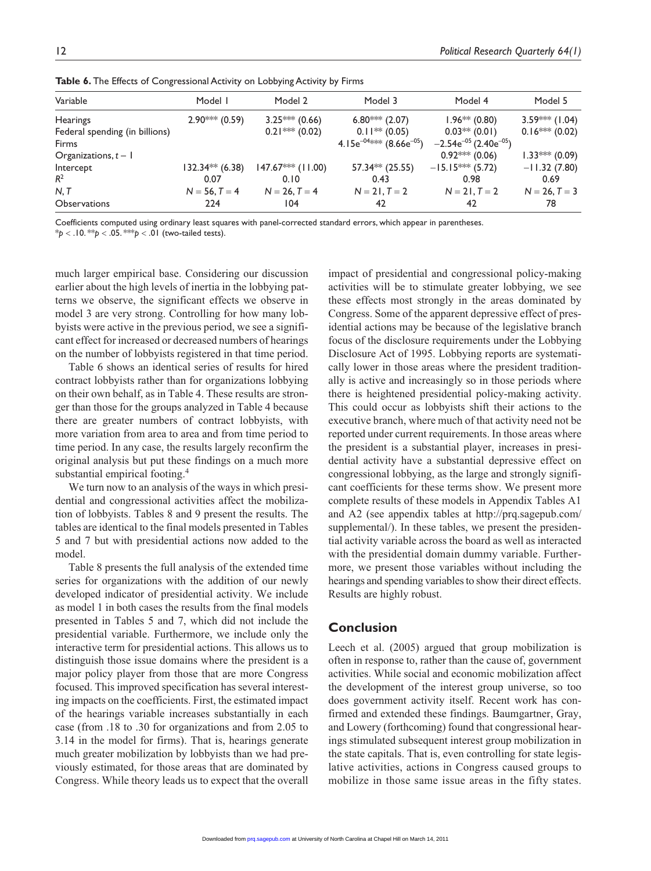| Variable<br>Model I<br>Model 2<br>Model 3                                 | Model 4                                | Model 5          |
|---------------------------------------------------------------------------|----------------------------------------|------------------|
|                                                                           |                                        |                  |
| $3.25***(0.66)$<br>$6.80***$ (2.07)<br><b>Hearings</b><br>$2.90***(0.59)$ | $1.96** (0.80)$                        | $3.59***$ (1.04) |
| $0.21***(0.02)$<br>$0.11** (0.05)$<br>Federal spending (in billions)      | $0.03**$ (0.01)                        | $0.16*** (0.02)$ |
| 4.15 $e^{-04\%}\%$ (8.66 $e^{-05}$ )<br><b>Firms</b>                      | $-2.54e^{-05}$ (2.40e <sup>-05</sup> ) |                  |
| Organizations, $t - 1$                                                    | $0.92$ ** (0.06)                       | $1.33*** (0.09)$ |
| $147.67***$ (11.00)<br>57.34** (25.55)<br>$132.34** (6.38)$<br>Intercept  | $-15.15***$ (5.72)                     | $-11.32(7.80)$   |
| $R^2$<br>0.07<br>0.43<br>0.10                                             | 0.98                                   | 0.69             |
| N, T<br>$N = 56, T = 4$<br>$N = 21, T = 2$<br>$N = 26, T = 4$             | $N = 21, T = 2$                        | $N = 26, T = 3$  |
| 42<br><b>Observations</b><br>224<br>104                                   | 42                                     | 78               |

**Table 6.** The Effects of Congressional Activity on Lobbying Activity by Firms

Coefficients computed using ordinary least squares with panel-corrected standard errors, which appear in parentheses.

 $* p < .10.* p < .05.* * p < .01$  (two-tailed tests).

much larger empirical base. Considering our discussion earlier about the high levels of inertia in the lobbying patterns we observe, the significant effects we observe in model 3 are very strong. Controlling for how many lobbyists were active in the previous period, we see a significant effect for increased or decreased numbers of hearings on the number of lobbyists registered in that time period.

Table 6 shows an identical series of results for hired contract lobbyists rather than for organizations lobbying on their own behalf, as in Table 4. These results are stronger than those for the groups analyzed in Table 4 because there are greater numbers of contract lobbyists, with more variation from area to area and from time period to time period. In any case, the results largely reconfirm the original analysis but put these findings on a much more substantial empirical footing.<sup>4</sup>

We turn now to an analysis of the ways in which presidential and congressional activities affect the mobilization of lobbyists. Tables 8 and 9 present the results. The tables are identical to the final models presented in Tables 5 and 7 but with presidential actions now added to the model.

Table 8 presents the full analysis of the extended time series for organizations with the addition of our newly developed indicator of presidential activity. We include as model 1 in both cases the results from the final models presented in Tables 5 and 7, which did not include the presidential variable. Furthermore, we include only the interactive term for presidential actions. This allows us to distinguish those issue domains where the president is a major policy player from those that are more Congress focused. This improved specification has several interesting impacts on the coefficients. First, the estimated impact of the hearings variable increases substantially in each case (from .18 to .30 for organizations and from 2.05 to 3.14 in the model for firms). That is, hearings generate much greater mobilization by lobbyists than we had previously estimated, for those areas that are dominated by Congress. While theory leads us to expect that the overall

impact of presidential and congressional policy-making activities will be to stimulate greater lobbying, we see these effects most strongly in the areas dominated by Congress. Some of the apparent depressive effect of presidential actions may be because of the legislative branch focus of the disclosure requirements under the Lobbying Disclosure Act of 1995. Lobbying reports are systematically lower in those areas where the president traditionally is active and increasingly so in those periods where there is heightened presidential policy-making activity. This could occur as lobbyists shift their actions to the executive branch, where much of that activity need not be reported under current requirements. In those areas where the president is a substantial player, increases in presidential activity have a substantial depressive effect on congressional lobbying, as the large and strongly significant coefficients for these terms show. We present more complete results of these models in Appendix Tables A1 and A2 (see appendix tables at http://prq.sagepub.com/ supplemental/). In these tables, we present the presidential activity variable across the board as well as interacted with the presidential domain dummy variable. Furthermore, we present those variables without including the hearings and spending variables to show their direct effects. Results are highly robust.

# **Conclusion**

Leech et al. (2005) argued that group mobilization is often in response to, rather than the cause of, government activities. While social and economic mobilization affect the development of the interest group universe, so too does government activity itself. Recent work has confirmed and extended these findings. Baumgartner, Gray, and Lowery (forthcoming) found that congressional hearings stimulated subsequent interest group mobilization in the state capitals. That is, even controlling for state legislative activities, actions in Congress caused groups to mobilize in those same issue areas in the fifty states.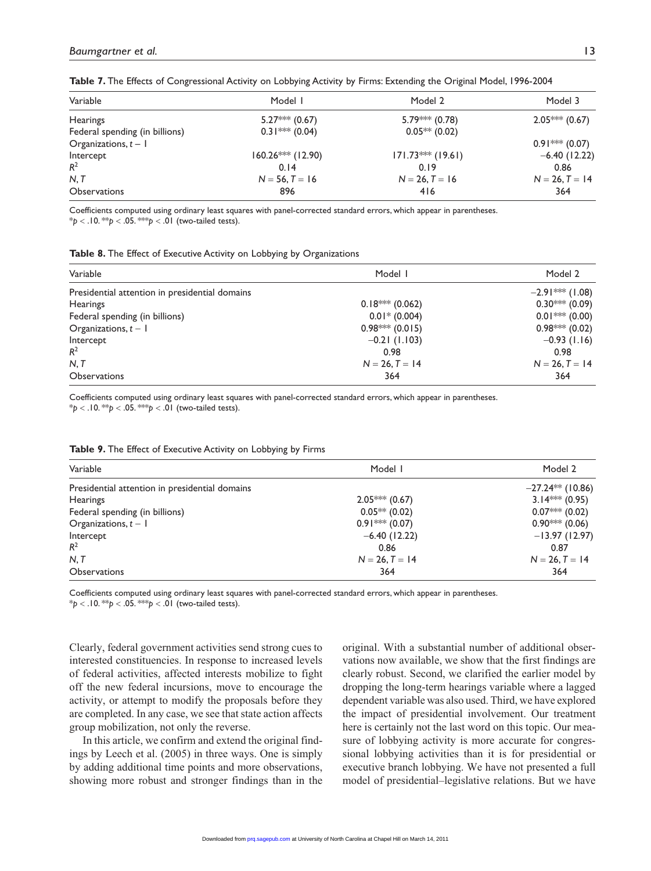| Model I             | Model 2             | Model 3          |
|---------------------|---------------------|------------------|
| $5.27***$ (0.67)    | $5.79*** (0.78)$    | $2.05***(0.67)$  |
| $0.31*** (0.04)$    | $0.05***(0.02)$     |                  |
|                     |                     | $0.91*** (0.07)$ |
| $160.26***$ (12.90) | $171.73***$ (19.61) | $-6.40$ (12.22)  |
| 0.14                | 0.19                | 0.86             |
| $N = 56, T = 16$    | $N = 26, T = 16$    | $N = 26, T = 14$ |
| 896                 | 416                 | 364              |
|                     |                     |                  |

**Table 7.** The Effects of Congressional Activity on Lobbying Activity by Firms: Extending the Original Model, 1996-2004

Coefficients computed using ordinary least squares with panel-corrected standard errors, which appear in parentheses. \**p* < .10. \*\**p* < .05. \*\*\**p* < .01 (two-tailed tests).

| Table 8. The Effect of Executive Activity on Lobbying by Organizations |  |  |  |
|------------------------------------------------------------------------|--|--|--|
|------------------------------------------------------------------------|--|--|--|

| Variable                                       | Model I           | Model 2           |
|------------------------------------------------|-------------------|-------------------|
| Presidential attention in presidential domains |                   | $-2.91***$ (1.08) |
| <b>Hearings</b>                                | $0.18*** (0.062)$ | $0.30***(0.09)$   |
| Federal spending (in billions)                 | $0.01*$ (0.004)   | $0.01***(0.00)$   |
| Organizations, $t - 1$                         | $0.98$ ** (0.015) | $0.98*** (0.02)$  |
| Intercept                                      | $-0.21$ (1.103)   | $-0.93(1.16)$     |
| $R^2$                                          | 0.98              | 0.98              |
| N, T                                           | $N = 26, T = 14$  | $N = 26, T = 14$  |
| Observations                                   | 364               | 364               |

Coefficients computed using ordinary least squares with panel-corrected standard errors, which appear in parentheses.  $* p < .10$ . \*\* $p < .05$ . \*\*\* $p < .01$  (two-tailed tests).

| Variable                                       | Model I          | Model 2            |
|------------------------------------------------|------------------|--------------------|
| Presidential attention in presidential domains |                  | $-27.24**$ (10.86) |
| <b>Hearings</b>                                | $2.05***(0.67)$  | $3.14*** (0.95)$   |
| Federal spending (in billions)                 | $0.05**$ (0.02)  | $0.07$ ** (0.02)   |
| Organizations, $t - 1$                         | $0.91*** (0.07)$ | $0.90***(0.06)$    |
| Intercept                                      | $-6.40$ (12.22)  | $-13.97(12.97)$    |
| $R^2$                                          | 0.86             | 0.87               |
| N, T                                           | $N = 26, T = 14$ | $N = 26, T = 14$   |
| <b>Observations</b>                            | 364              | 364                |

**Table 9.** The Effect of Executive Activity on Lobbying by Firms

Coefficients computed using ordinary least squares with panel-corrected standard errors, which appear in parentheses. \**p* < .10. \*\**p* < .05. \*\*\**p* < .01 (two-tailed tests).

Clearly, federal government activities send strong cues to interested constituencies. In response to increased levels of federal activities, affected interests mobilize to fight off the new federal incursions, move to encourage the activity, or attempt to modify the proposals before they are completed. In any case, we see that state action affects group mobilization, not only the reverse.

In this article, we confirm and extend the original findings by Leech et al. (2005) in three ways. One is simply by adding additional time points and more observations, showing more robust and stronger findings than in the original. With a substantial number of additional observations now available, we show that the first findings are clearly robust. Second, we clarified the earlier model by dropping the long-term hearings variable where a lagged dependent variable was also used. Third, we have explored the impact of presidential involvement. Our treatment here is certainly not the last word on this topic. Our measure of lobbying activity is more accurate for congressional lobbying activities than it is for presidential or executive branch lobbying. We have not presented a full model of presidential–legislative relations. But we have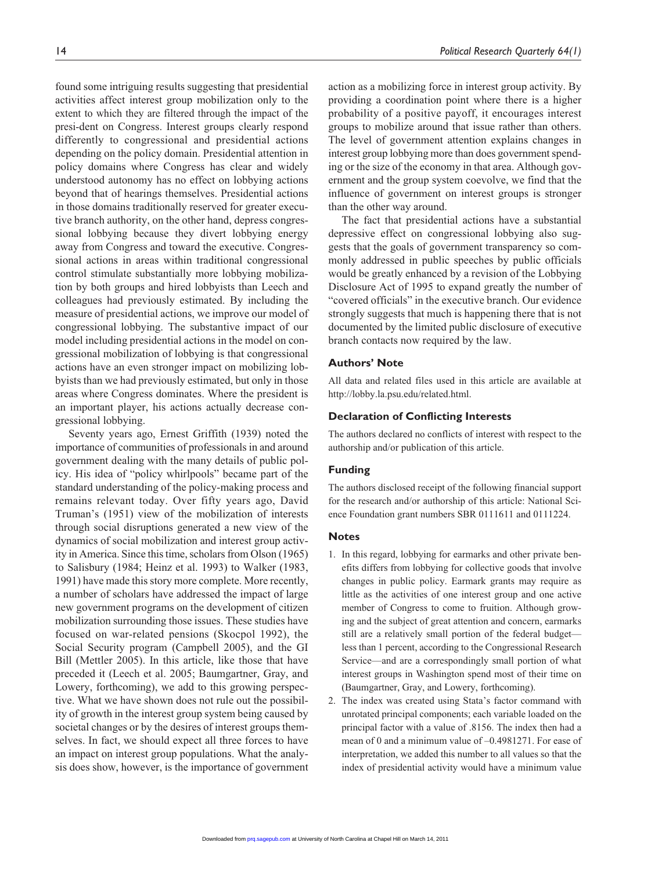found some intriguing results suggesting that presidential activities affect interest group mobilization only to the extent to which they are filtered through the impact of the presi-dent on Congress. Interest groups clearly respond differently to congressional and presidential actions depending on the policy domain. Presidential attention in policy domains where Congress has clear and widely understood autonomy has no effect on lobbying actions beyond that of hearings themselves. Presidential actions in those domains traditionally reserved for greater executive branch authority, on the other hand, depress congressional lobbying because they divert lobbying energy away from Congress and toward the executive. Congressional actions in areas within traditional congressional control stimulate substantially more lobbying mobilization by both groups and hired lobbyists than Leech and colleagues had previously estimated. By including the measure of presidential actions, we improve our model of congressional lobbying. The substantive impact of our model including presidential actions in the model on congressional mobilization of lobbying is that congressional actions have an even stronger impact on mobilizing lobbyists than we had previously estimated, but only in those areas where Congress dominates. Where the president is an important player, his actions actually decrease congressional lobbying.

Seventy years ago, Ernest Griffith (1939) noted the importance of communities of professionals in and around government dealing with the many details of public policy. His idea of "policy whirlpools" became part of the standard understanding of the policy-making process and remains relevant today. Over fifty years ago, David Truman's (1951) view of the mobilization of interests through social disruptions generated a new view of the dynamics of social mobilization and interest group activity in America. Since this time, scholars from Olson (1965) to Salisbury (1984; Heinz et al. 1993) to Walker (1983, 1991) have made this story more complete. More recently, a number of scholars have addressed the impact of large new government programs on the development of citizen mobilization surrounding those issues. These studies have focused on war-related pensions (Skocpol 1992), the Social Security program (Campbell 2005), and the GI Bill (Mettler 2005). In this article, like those that have preceded it (Leech et al. 2005; Baumgartner, Gray, and Lowery, forthcoming), we add to this growing perspective. What we have shown does not rule out the possibility of growth in the interest group system being caused by societal changes or by the desires of interest groups themselves. In fact, we should expect all three forces to have an impact on interest group populations. What the analysis does show, however, is the importance of government action as a mobilizing force in interest group activity. By providing a coordination point where there is a higher probability of a positive payoff, it encourages interest groups to mobilize around that issue rather than others. The level of government attention explains changes in interest group lobbying more than does government spending or the size of the economy in that area. Although government and the group system coevolve, we find that the influence of government on interest groups is stronger than the other way around.

The fact that presidential actions have a substantial depressive effect on congressional lobbying also suggests that the goals of government transparency so commonly addressed in public speeches by public officials would be greatly enhanced by a revision of the Lobbying Disclosure Act of 1995 to expand greatly the number of "covered officials" in the executive branch. Our evidence strongly suggests that much is happening there that is not documented by the limited public disclosure of executive branch contacts now required by the law.

## **Authors' Note**

All data and related files used in this article are available at http://lobby.la.psu.edu/related.html.

#### **Declaration of Conflicting Interests**

The authors declared no conflicts of interest with respect to the authorship and/or publication of this article.

#### **Funding**

The authors disclosed receipt of the following financial support for the research and/or authorship of this article: National Science Foundation grant numbers SBR 0111611 and 0111224.

#### **Notes**

- 1. In this regard, lobbying for earmarks and other private benefits differs from lobbying for collective goods that involve changes in public policy. Earmark grants may require as little as the activities of one interest group and one active member of Congress to come to fruition. Although growing and the subject of great attention and concern, earmarks still are a relatively small portion of the federal budget less than 1 percent, according to the Congressional Research Service—and are a correspondingly small portion of what interest groups in Washington spend most of their time on (Baumgartner, Gray, and Lowery, forthcoming).
- 2. The index was created using Stata's factor command with unrotated principal components; each variable loaded on the principal factor with a value of .8156. The index then had a mean of 0 and a minimum value of –0.4981271. For ease of interpretation, we added this number to all values so that the index of presidential activity would have a minimum value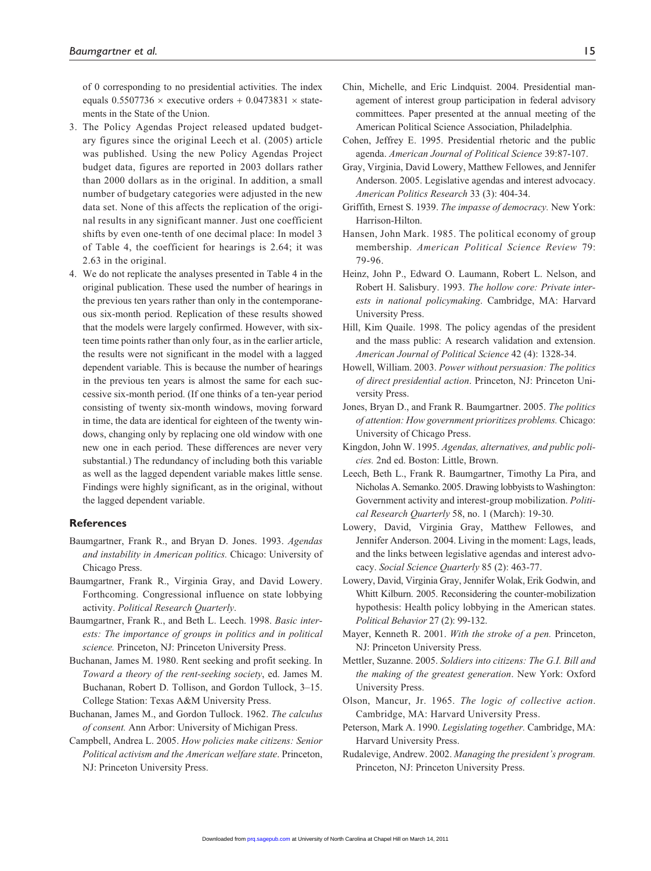of 0 corresponding to no presidential activities. The index equals  $0.5507736 \times$  executive orders +  $0.0473831 \times$  statements in the State of the Union.

- 3. The Policy Agendas Project released updated budgetary figures since the original Leech et al. (2005) article was published. Using the new Policy Agendas Project budget data, figures are reported in 2003 dollars rather than 2000 dollars as in the original. In addition, a small number of budgetary categories were adjusted in the new data set. None of this affects the replication of the original results in any significant manner. Just one coefficient shifts by even one-tenth of one decimal place: In model 3 of Table 4, the coefficient for hearings is 2.64; it was 2.63 in the original.
- 4. We do not replicate the analyses presented in Table 4 in the original publication. These used the number of hearings in the previous ten years rather than only in the contemporaneous six-month period. Replication of these results showed that the models were largely confirmed. However, with sixteen time points rather than only four, as in the earlier article, the results were not significant in the model with a lagged dependent variable. This is because the number of hearings in the previous ten years is almost the same for each successive six-month period. (If one thinks of a ten-year period consisting of twenty six-month windows, moving forward in time, the data are identical for eighteen of the twenty windows, changing only by replacing one old window with one new one in each period. These differences are never very substantial.) The redundancy of including both this variable as well as the lagged dependent variable makes little sense. Findings were highly significant, as in the original, without the lagged dependent variable.

### **References**

- Baumgartner, Frank R., and Bryan D. Jones. 1993. *Agendas and instability in American politics.* Chicago: University of Chicago Press.
- Baumgartner, Frank R., Virginia Gray, and David Lowery. Forthcoming. Congressional influence on state lobbying activity. *Political Research Quarterly*.
- Baumgartner, Frank R., and Beth L. Leech. 1998. *Basic interests: The importance of groups in politics and in political science.* Princeton, NJ: Princeton University Press.
- Buchanan, James M. 1980. Rent seeking and profit seeking. In *Toward a theory of the rent-seeking society*, ed. James M. Buchanan, Robert D. Tollison, and Gordon Tullock, 3–15. College Station: Texas A&M University Press.
- Buchanan, James M., and Gordon Tullock. 1962. *The calculus of consent.* Ann Arbor: University of Michigan Press.
- Campbell, Andrea L. 2005. *How policies make citizens: Senior Political activism and the American welfare state*. Princeton, NJ: Princeton University Press.
- Chin, Michelle, and Eric Lindquist. 2004. Presidential management of interest group participation in federal advisory committees. Paper presented at the annual meeting of the American Political Science Association, Philadelphia.
- Cohen, Jeffrey E. 1995. Presidential rhetoric and the public agenda. *American Journal of Political Science* 39:87-107.
- Gray, Virginia, David Lowery, Matthew Fellowes, and Jennifer Anderson. 2005. Legislative agendas and interest advocacy. *American Politics Research* 33 (3): 404-34.
- Griffith, Ernest S. 1939. *The impasse of democracy.* New York: Harrison-Hilton.
- Hansen, John Mark. 1985. The political economy of group membership. *American Political Science Review* 79: 79-96.
- Heinz, John P., Edward O. Laumann, Robert L. Nelson, and Robert H. Salisbury. 1993. *The hollow core: Private interests in national policymaking*. Cambridge, MA: Harvard University Press.
- Hill, Kim Quaile. 1998. The policy agendas of the president and the mass public: A research validation and extension. *American Journal of Political Science* 42 (4): 1328-34.
- Howell, William. 2003. *Power without persuasion: The politics of direct presidential action*. Princeton, NJ: Princeton University Press.
- Jones, Bryan D., and Frank R. Baumgartner. 2005. *The politics of attention: How government prioritizes problems.* Chicago: University of Chicago Press.
- Kingdon, John W. 1995. *Agendas, alternatives, and public policies.* 2nd ed. Boston: Little, Brown.
- Leech, Beth L., Frank R. Baumgartner, Timothy La Pira, and Nicholas A. Semanko. 2005. Drawing lobbyists to Washington: Government activity and interest-group mobilization. *Political Research Quarterly* 58, no. 1 (March): 19-30.
- Lowery, David, Virginia Gray, Matthew Fellowes, and Jennifer Anderson. 2004. Living in the moment: Lags, leads, and the links between legislative agendas and interest advocacy. *Social Science Quarterly* 85 (2): 463-77.
- Lowery, David, Virginia Gray, Jennifer Wolak, Erik Godwin, and Whitt Kilburn. 2005. Reconsidering the counter-mobilization hypothesis: Health policy lobbying in the American states. *Political Behavior* 27 (2): 99-132.
- Mayer, Kenneth R. 2001. *With the stroke of a pen.* Princeton, NJ: Princeton University Press.
- Mettler, Suzanne. 2005. *Soldiers into citizens: The G.I. Bill and the making of the greatest generation*. New York: Oxford University Press.
- Olson, Mancur, Jr. 1965. *The logic of collective action*. Cambridge, MA: Harvard University Press.
- Peterson, Mark A. 1990. *Legislating together.* Cambridge, MA: Harvard University Press.
- Rudalevige, Andrew. 2002. *Managing the president's program.* Princeton, NJ: Princeton University Press.